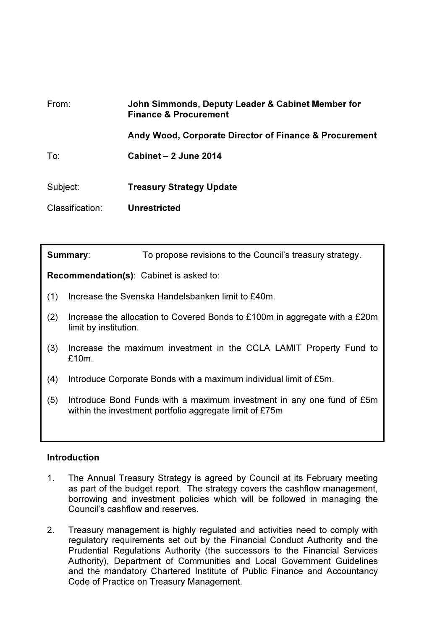| From:           | John Simmonds, Deputy Leader & Cabinet Member for<br><b>Finance &amp; Procurement</b> |
|-----------------|---------------------------------------------------------------------------------------|
|                 | Andy Wood, Corporate Director of Finance & Procurement                                |
| To:             | Cabinet - 2 June 2014                                                                 |
| Subject:        | <b>Treasury Strategy Update</b>                                                       |
| Classification: | <b>Unrestricted</b>                                                                   |

| Summary:                                       |                                                                                                     | To propose revisions to the Council's treasury strategy.                                                                         |  |
|------------------------------------------------|-----------------------------------------------------------------------------------------------------|----------------------------------------------------------------------------------------------------------------------------------|--|
| <b>Recommendation(s):</b> Cabinet is asked to: |                                                                                                     |                                                                                                                                  |  |
| (1)                                            | Increase the Svenska Handelsbanken limit to £40m.                                                   |                                                                                                                                  |  |
| (2)                                            | Increase the allocation to Covered Bonds to £100m in aggregate with a £20m<br>limit by institution. |                                                                                                                                  |  |
| (3)                                            | Increase the maximum investment in the CCLA LAMIT Property Fund to<br>£10m.                         |                                                                                                                                  |  |
| (4)                                            | Introduce Corporate Bonds with a maximum individual limit of £5m.                                   |                                                                                                                                  |  |
| (5)                                            |                                                                                                     | Introduce Bond Funds with a maximum investment in any one fund of £5m<br>within the investment portfolio aggregate limit of £75m |  |

### Introduction

- 1. The Annual Treasury Strategy is agreed by Council at its February meeting as part of the budget report. The strategy covers the cashflow management, borrowing and investment policies which will be followed in managing the Council's cashflow and reserves.
- 2. Treasury management is highly regulated and activities need to comply with regulatory requirements set out by the Financial Conduct Authority and the Prudential Regulations Authority (the successors to the Financial Services Authority), Department of Communities and Local Government Guidelines and the mandatory Chartered Institute of Public Finance and Accountancy Code of Practice on Treasury Management.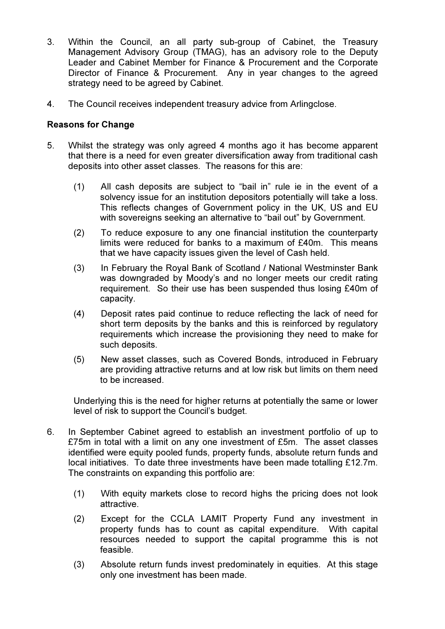- 3. Within the Council, an all party sub-group of Cabinet, the Treasury Management Advisory Group (TMAG), has an advisory role to the Deputy Leader and Cabinet Member for Finance & Procurement and the Corporate Director of Finance & Procurement. Any in year changes to the agreed strategy need to be agreed by Cabinet.
- 4. The Council receives independent treasury advice from Arlingclose.

### Reasons for Change

- 5. Whilst the strategy was only agreed 4 months ago it has become apparent that there is a need for even greater diversification away from traditional cash deposits into other asset classes. The reasons for this are:
	- (1) All cash deposits are subject to "bail in" rule ie in the event of a solvency issue for an institution depositors potentially will take a loss. This reflects changes of Government policy in the UK, US and EU with sovereigns seeking an alternative to "bail out" by Government.
	- (2) To reduce exposure to any one financial institution the counterparty limits were reduced for banks to a maximum of £40m. This means that we have capacity issues given the level of Cash held.
	- (3) In February the Royal Bank of Scotland / National Westminster Bank was downgraded by Moody's and no longer meets our credit rating requirement. So their use has been suspended thus losing £40m of capacity.
	- (4) Deposit rates paid continue to reduce reflecting the lack of need for short term deposits by the banks and this is reinforced by regulatory requirements which increase the provisioning they need to make for such deposits.
	- (5) New asset classes, such as Covered Bonds, introduced in February are providing attractive returns and at low risk but limits on them need to be increased.

Underlying this is the need for higher returns at potentially the same or lower level of risk to support the Council's budget.

- 6. In September Cabinet agreed to establish an investment portfolio of up to £75m in total with a limit on any one investment of £5m. The asset classes identified were equity pooled funds, property funds, absolute return funds and local initiatives. To date three investments have been made totalling £12.7m. The constraints on expanding this portfolio are:
	- (1) With equity markets close to record highs the pricing does not look attractive.
	- (2) Except for the CCLA LAMIT Property Fund any investment in property funds has to count as capital expenditure. With capital resources needed to support the capital programme this is not feasible.
	- (3) Absolute return funds invest predominately in equities. At this stage only one investment has been made.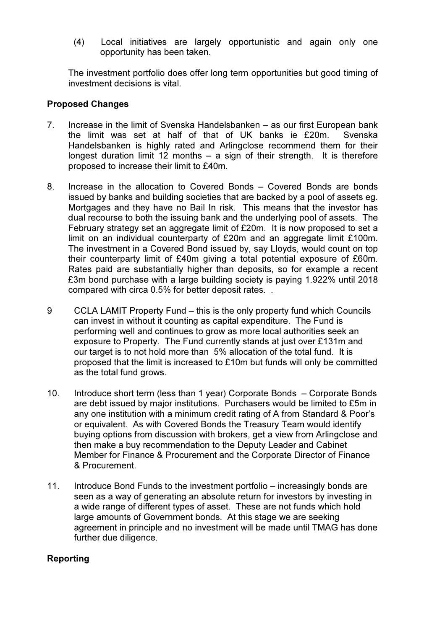(4) Local initiatives are largely opportunistic and again only one opportunity has been taken.

The investment portfolio does offer long term opportunities but good timing of investment decisions is vital.

## Proposed Changes

- 7. Increase in the limit of Svenska Handelsbanken as our first European bank the limit was set at half of that of UK banks ie £20m. Svenska Handelsbanken is highly rated and Arlingclose recommend them for their longest duration limit 12 months – a sign of their strength. It is therefore proposed to increase their limit to £40m.
- 8. Increase in the allocation to Covered Bonds Covered Bonds are bonds issued by banks and building societies that are backed by a pool of assets eg. Mortgages and they have no Bail In risk. This means that the investor has dual recourse to both the issuing bank and the underlying pool of assets. The February strategy set an aggregate limit of £20m. It is now proposed to set a limit on an individual counterparty of £20m and an aggregate limit £100m. The investment in a Covered Bond issued by, say Lloyds, would count on top their counterparty limit of £40m giving a total potential exposure of £60m. Rates paid are substantially higher than deposits, so for example a recent £3m bond purchase with a large building society is paying 1.922% until 2018 compared with circa 0.5% for better deposit rates. .
- 9 CCLA LAMIT Property Fund this is the only property fund which Councils can invest in without it counting as capital expenditure. The Fund is performing well and continues to grow as more local authorities seek an exposure to Property. The Fund currently stands at just over £131m and our target is to not hold more than 5% allocation of the total fund. It is proposed that the limit is increased to £10m but funds will only be committed as the total fund grows.
- 10. Introduce short term (less than 1 year) Corporate Bonds Corporate Bonds are debt issued by major institutions. Purchasers would be limited to £5m in any one institution with a minimum credit rating of A from Standard & Poor's or equivalent. As with Covered Bonds the Treasury Team would identify buying options from discussion with brokers, get a view from Arlingclose and then make a buy recommendation to the Deputy Leader and Cabinet Member for Finance & Procurement and the Corporate Director of Finance & Procurement.
- 11. Introduce Bond Funds to the investment portfolio increasingly bonds are seen as a way of generating an absolute return for investors by investing in a wide range of different types of asset. These are not funds which hold large amounts of Government bonds. At this stage we are seeking agreement in principle and no investment will be made until TMAG has done further due diligence.

# Reporting